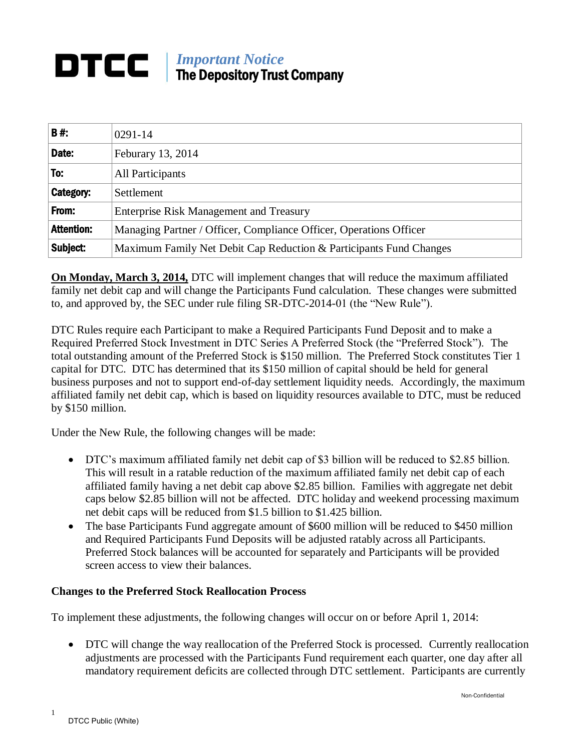## *Important Notice* DTCC | The Depository Trust Company

| <b>B#:</b>        | $0291 - 14$                                                        |
|-------------------|--------------------------------------------------------------------|
| Date:             | Feburary 13, 2014                                                  |
| To:               | All Participants                                                   |
| Category:         | Settlement                                                         |
| From:             | <b>Enterprise Risk Management and Treasury</b>                     |
| <b>Attention:</b> | Managing Partner / Officer, Compliance Officer, Operations Officer |
| Subject:          | Maximum Family Net Debit Cap Reduction & Participants Fund Changes |

**On Monday, March 3, 2014,** DTC will implement changes that will reduce the maximum affiliated family net debit cap and will change the Participants Fund calculation. These changes were submitted to, and approved by, the SEC under rule filing SR-DTC-2014-01 (the "New Rule").

DTC Rules require each Participant to make a Required Participants Fund Deposit and to make a Required Preferred Stock Investment in DTC Series A Preferred Stock (the "Preferred Stock"). The total outstanding amount of the Preferred Stock is \$150 million. The Preferred Stock constitutes Tier 1 capital for DTC. DTC has determined that its \$150 million of capital should be held for general business purposes and not to support end-of-day settlement liquidity needs. Accordingly, the maximum affiliated family net debit cap, which is based on liquidity resources available to DTC, must be reduced by \$150 million.

Under the New Rule, the following changes will be made:

- DTC's maximum affiliated family net debit cap of \$3 billion will be reduced to \$2.85 billion. This will result in a ratable reduction of the maximum affiliated family net debit cap of each affiliated family having a net debit cap above \$2.85 billion. Families with aggregate net debit caps below \$2.85 billion will not be affected. DTC holiday and weekend processing maximum net debit caps will be reduced from \$1.5 billion to \$1.425 billion.
- The base Participants Fund aggregate amount of \$600 million will be reduced to \$450 million and Required Participants Fund Deposits will be adjusted ratably across all Participants. Preferred Stock balances will be accounted for separately and Participants will be provided screen access to view their balances.

## **Changes to the Preferred Stock Reallocation Process**

To implement these adjustments, the following changes will occur on or before April 1, 2014:

 DTC will change the way reallocation of the Preferred Stock is processed. Currently reallocation adjustments are processed with the Participants Fund requirement each quarter, one day after all mandatory requirement deficits are collected through DTC settlement. Participants are currently

1